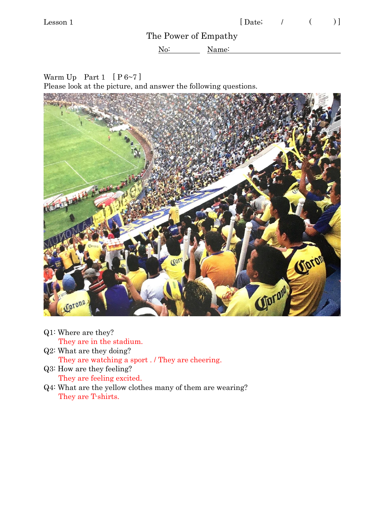The Power of Empathy

No: Name:

Warm Up Part 1  $[P 6~1]$ Please look at the picture, and answer the following questions.



- Q1: Where are they? They are in the stadium. Q2: What are they doing?
	- They are watching a sport . / They are cheering.
- Q3: How are they feeling? They are feeling excited.
- Q4: What are the yellow clothes many of them are wearing? They are T-shirts.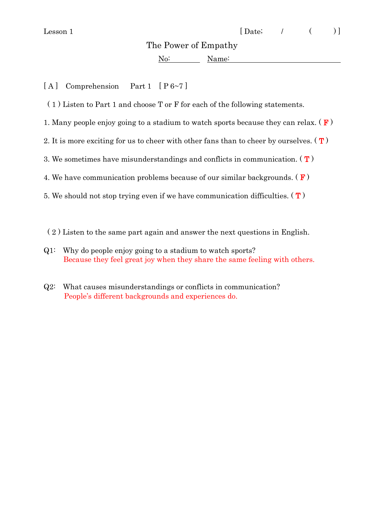The Power of Empathy

No: Name:

[A] Comprehension Part 1 [P 6~7]

( 1 ) Listen to Part 1 and choose T or F for each of the following statements.

1. Many people enjoy going to a stadium to watch sports because they can relax.  $(F)$ 

2. It is more exciting for us to cheer with other fans than to cheer by ourselves.  $(T)$ 

3. We sometimes have misunderstandings and conflicts in communication.  $(T)$ 

4. We have communication problems because of our similar backgrounds.  $(F)$ 

- 5. We should not stop trying even if we have communication difficulties.  $(T)$
- ( 2 ) Listen to the same part again and answer the next questions in English.
- Q1: Why do people enjoy going to a stadium to watch sports? Because they feel great joy when they share the same feeling with others.
- Q2: What causes misunderstandings or conflicts in communication? People's different backgrounds and experiences do.